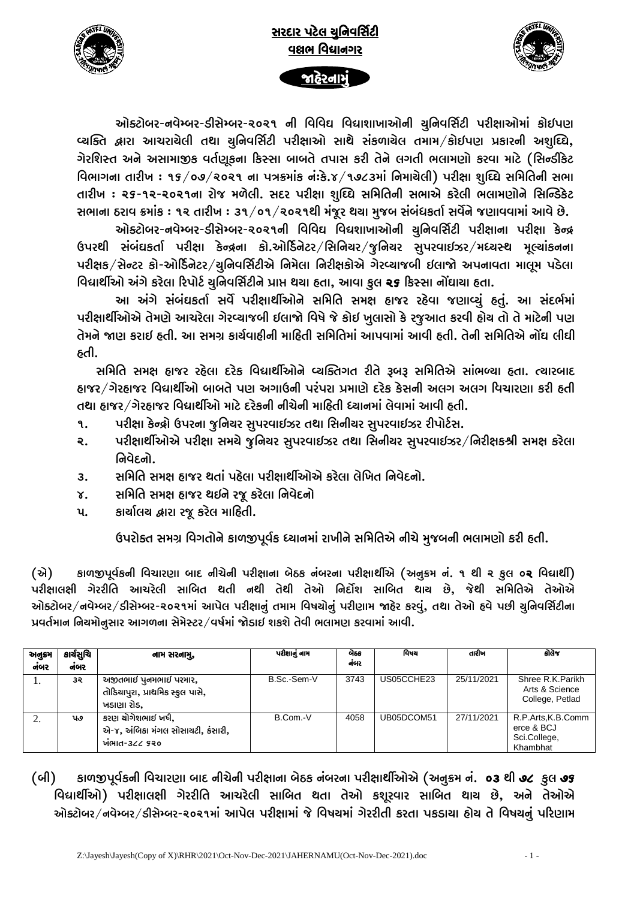

સરદાર પટેલ ચુનિવર્સિટી વલ્નભ વિદ્યાનગર



slbsáh

ઓક્ટોબર-નવેમ્બર-ડીસેમ્બર-૨૦૨૧ ની વિવિઘ વિદ્યાશાખાઓની ચુનિવર્સિટી પરીક્ષાઓમાં કોઈપણ વ્યક્તિ દ્વારા આચરાચેલી તથા ચુનિવર્સિટી પરીક્ષાઓ સાથે સંકળાચેલ તમામ/કોઈપણ પ્રકારની અશુઘ્ઘિ, ગેરશિસ્ત અને અસામાજીક વર્તણુકના કિસ્સા બાબતે તપાસ કરી તેને લગતી ભલામણો કરવા માટે (સિન્ડીકેટ વિભાગના તારીખ : ૧૬/૦૭/૨૦૨૧ ના પત્રક્રમાંક નં:કે.૪/૧૭૮૩માં નિમાચેલી) પરીક્ષા શુઘ્ઘિ સમિતિની સભા તારીખ : ૨૬-૧૨-૨૦૨૧ના રોજ મળેલી. સદર પરીક્ષા શુઘ્ઘિ સમિતિની સભાએ કરેલી ભલામણોને સિન્ડિકેટ સભાના ઠરાવ ક્રમાંક : ૧૨ તારીખ : ૩૧/૦૧/૨૦૨૧થી મંજૂર થચા મુજબ સંબંધકર્તા સર્વેને જણાવવામાં આવે છે.

ઓક્ટોબર-નવેમ્બર-ડીસેમ્બર-૨૦૨૧ની વિવિઘ વિદ્યશાખાઓની ચુનિવર્સિટી પરીક્ષાના પરીક્ષા કેન્દ્ર ઉપરથી સંબંઘકર્તા પરીક્ષા કેન્દ્રના કો.ઓર્ડિનેટર/સિનિચર/જૂનિચર સુપરવાઈઝર/મધ્ચસ્થ મૂલ્યાંકનના પરીક્ષક/સેન્ટર કો-ઓર્ડિનેટર/ચુનિવર્સિટીએ નિમેલા નિરીક્ષકોએ ગેરવ્યાજબી ઈલાજો અપનાવતા માલમ પડેલા વિદ્યાર્થીઓ અંગે કરેલા રિપોર્ટ ચુનિવર્સિટીને પ્રાપ્ત થયા હતા, આવા કુલ ૨૬ કિસ્સા નોંઘાયા હતા.

આ અંગે સંબંઘકર્તા સર્વે પરીક્ષાર્થીઓને સમિતિ સમક્ષ હાજર રહેવા જણાવ્યું હતું. આ સંદર્ભમાં પરીક્ષાર્થીઓએ તેમણે આચરેલા ગેરવ્યાજબી ઈલાજો વિષે જે કોઈ ખુલાસો કે રજૂઆત કરવી હોચ તો તે માટેની પણ તેમને જાણ કરાઈ હતી. આ સમગ્ર કાર્ચવાહીની માહિતી સમિતિમાં આપવામાં આવી હતી. તેની સમિતિએ નોંઘ લીઘી ઠતી.

સમિતિ સમક્ષ હાજર રહેલા દરેક વિદ્યાર્થીઓને વ્યક્તિગત રીતે રૂબરૂ સમિતિએ સાંભળ્યા હતા. ત્યારબાદ હાજર/ગેરહાજર વિદ્યાર્થીઓ બાબતે પણ અગાઉની પરંપરા પ્રમાણે દરેક કેસની અલગ અલગ વિચારણા કરી હતી તથા હાજર/ગેરહાજર વિદ્યાર્થીઓ માટે દરેકની નીચેની માહિતી ધ્યાનમાં લેવામાં આવી હતી.

- પરીક્ષા કેન્દ્રો ઉપરના જુનિચર સુપરવાઈઝર તથા સિનીચર સુપરવાઈઝર રીપોર્ટસ. ۹.
- પરીક્ષાર્થીઓએ પરીક્ષા સમચે જુનિચર સુપરવાઈઝર તથા સિનીચર સુપરવાઈઝર/નિરીક્ષકશ્રી સમક્ષ કરેલા  $\mathsf{R}$ . નિવેદનો.
- સમિતિ સમક્ષ હાજર થતાં પહેલા પરીક્ષાર્થીઓએ કરેલા લેખિત નિવેદનો.  $3<sub>1</sub>$
- સમિતિ સમક્ષ હાજર થઈને રજૂ કરેલા નિવેદનો  $\mathbf{r}$ .
- કાર્યાલય દ્વારા રજ કરેલ માહિતી.  $\mathbf{u}$ .

ઉપરોક્ત સમગ્ર વિગતોને કાળજીપૂર્વક ધ્યાનમાં રાખીને સમિતિએ નીચે મુજબની ભલામણો કરી હતી.

(એ) કાળજીપૂર્વકની વિચારણા બાદ નીચેની પરીક્ષાના બેઠક નંબરના પરીક્ષાર્થીએ (અનુક્રમ નં. ૧ થી ૨ ફુલ ૦૨ વિદ્યાર્થી) પરીક્ષાલક્ષી ગેરરીતિ આચરેલી સાબિત થતી નથી તેથી તેઓ નિર્દોશ સાબિત થાચ છે, જેથી સમિતિએ તેઓએ ઓક્ટોબર/નવેમ્બર/ડીસેમ્બર-૨૦૨૧માં આપેલ પરીક્ષાનું તમામ વિષયોનું પરીણામ જાહેર કરવું, તથા તેઓ હવે પછી ચુનિવર્સિટીના પ્રવર્તમાન નિયમોનુસાર આગળના સેમેસ્ટર/વર્ષમાં જોડાઈ શકશે તેવી ભલામણ કરવામાં આવી.

| અનુક્રમ<br>નંબર | કાર્યસચિ<br>નંબર | નામ સરનામુ,                                                                    | પરીક્ષાનું નામ | બેઠક<br>નંબર | વિષય       | તારીખ      | કોલેજ                                                       |
|-----------------|------------------|--------------------------------------------------------------------------------|----------------|--------------|------------|------------|-------------------------------------------------------------|
| 1.              | ૩૨               | અજીતભાઈ પૂનમભાઈ પરમાર,<br>તોડિયાપુરા, પ્રાથમિક સ્કુલ પાસે,<br>ખડાણા રોડ.       | B.Sc.-Sem-V    | 3743         | US05CCHE23 | 25/11/2021 | Shree R.K.Parikh<br>Arts & Science<br>College, Petlad       |
| ۷.              | પ૭               | કરણ ચોગેશભાઈ ખર્ષ,<br>એ-૪, અંબિકા મંગલ સોસાચટી, કંસારી,<br><b>WAIC-322 5२०</b> | B.Com.-V       | 4058         | UB05DCOM51 | 27/11/2021 | R.P.Arts.K.B.Comm<br>erce & BCJ<br>Sci.College,<br>Khambhat |

(બી) કાળજીપૂર્વકની વિચારણા બાદ નીચેની પરીક્ષાના બેઠક નંબરના પરીક્ષાર્થીઓએ (અનુક્રમ નં. 03 થી ૭૮ ફુલ ૭૬ વિદ્યાર્થીઓ) પરીક્ષાલક્ષી ગેરરીતિ આચરેલી સાબિત થતા તેઓ કશૂરવાર સાબિત થાય છે, અને તેઓએ ઓક્ટોબર/નવેમ્બર/ડીસેમ્બર-૨૦૨૧માં આપેલ પરીક્ષામાં જે વિષયમાં ગેરરીતી કરતા પકડાચા હોચ તે વિષયનું પરિણામ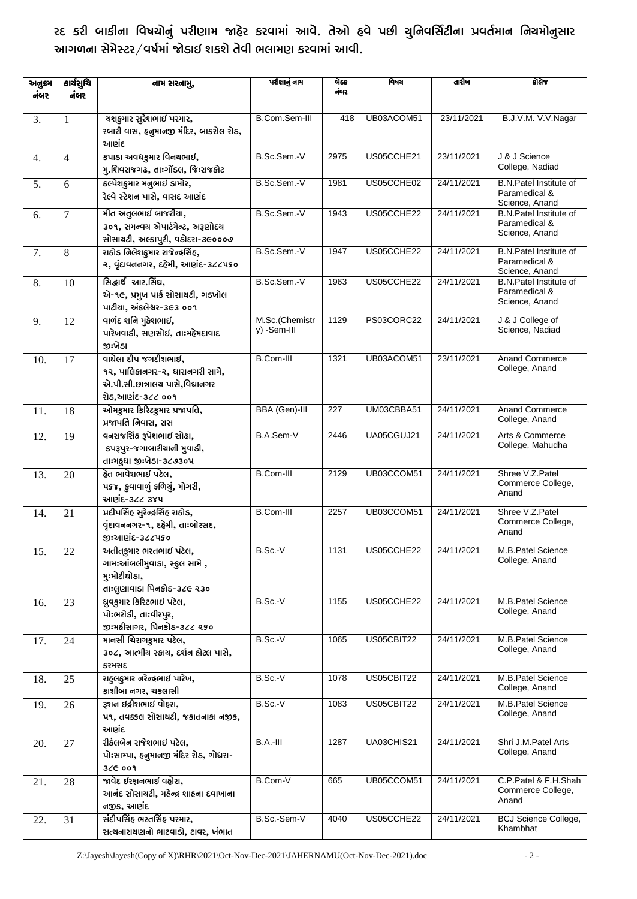રદ કરી બાકીના વિષચોનું પરીણામ જાહેર કરવામાં આવે. તેઓ હવે પછી ચુનિવર્સિટીના પ્રવર્તમાન નિયમોનુસાર આગળના સેમેસ્ટર/વર્ષમાં જોડાઈ શકશે તેવી ભલામણ કરવામાં આવી.

| અનુક્રમ |                | નામ સરનામુ,                                                                                                    | પરીક્ષાનું નામ                | બેઠક<br>નંબર     | વિષય       | તારીખ      | કોલેજ                                                            |
|---------|----------------|----------------------------------------------------------------------------------------------------------------|-------------------------------|------------------|------------|------------|------------------------------------------------------------------|
| નંબર    | નંબર           |                                                                                                                |                               |                  |            |            |                                                                  |
| 3.      | 1              | ચશકુમાર સુરેશભાઈ પરમાર,<br>રબારી વાસ, હનુમાનજી મંદિર, બાકરોલ રોડ,<br>આણંદ                                      | B.Com.Sem-III                 | 418              | UB03ACOM51 | 23/11/2021 | B.J.V.M. V.V.Nagar                                               |
| 4.      | $\overline{4}$ | કપાડા અવધકુમાર વિનચભાઈ,<br>મુ.શિવરાજગઢ, તાઃગોંડલ, જિઃરાજકોટ                                                    | B.Sc.Sem.-V                   | 2975             | US05CCHE21 | 23/11/2021 | J & J Science<br>College, Nadiad                                 |
| 5.      | 6              | કલ્પેશકુમાર મનુભાઈ ડામોર,<br>રેલ્વે સ્ટેશન પાસે, વાસદ આણંદ                                                     | B.Sc.Sem.-V                   | 1981             | US05CCHE02 | 24/11/2021 | <b>B.N.Patel Institute of</b><br>Paramedical &<br>Science, Anand |
| 6.      | $\overline{7}$ | મીત અતુલભાઈ બાજરીચા,<br>૩૦૧, સમન્વચ એપાર્ટમેન્ટ, અરૂણોદચ<br>સોસાયટી, અલ્કાપુરી, વડોદરા-૩૯૦૦૦૭                  | B.Sc.Sem.-V                   | 1943             | US05CCHE22 | 24/11/2021 | <b>B.N.Patel Institute of</b><br>Paramedical &<br>Science, Anand |
| 7.      | 8              | રાઠોડ નિલેશકુમાર રાજેન્દ્રસિંહ,<br>૨, વૃંદાવનનગર, દહેમી, આણંદ-૩૮૮૫૬૦                                           | B.Sc.Sem.-V                   | 1947             | US05CCHE22 | 24/11/2021 | <b>B.N.Patel Institute of</b><br>Paramedical &<br>Science, Anand |
| 8.      | 10             | સિદ્ધાર્થ આર.સિંઘ,<br>એ-૧૯, પ્રમુખ પાર્ક સોસાચટી, ગડખોલ<br>પાટીચા, અંકલેશ્વર-૩૯૩ ૦૦૧                           | B.Sc.Sem.-V                   | 1963             | US05CCHE22 | 24/11/2021 | B.N.Patel Institute of<br>Paramedical &<br>Science, Anand        |
| 9.      | 12             | વાળંદ શનિ મુકેશભાઈ,<br>પારેખવાડી, સણસોઈ, તાઃમહેમદાવાદ<br>જીઃખેડા                                               | M.Sc.(Chemistr<br>y) -Sem-III | 1129             | PS03CORC22 | 24/11/2021 | J & J College of<br>Science, Nadiad                              |
| 10.     | 17             | વાઘેલા દીપ જગદીશભાઈ,<br>૧૨, પાલિકાનગર-૨, ધારાનગરી સામે,<br>એ.પી.સી.છાત્રાલય પાસે,વિદ્યાનગર<br>રોડ,આણંદ-૩૮૮ ૦૦૧ | <b>B.Com-III</b>              | 1321             | UB03ACOM51 | 23/11/2021 | Anand Commerce<br>College, Anand                                 |
| 11.     | 18             | ઓમકુમાર કિરિટકુમાર પ્રજાપતિ,<br>પ્રજાપતિ નિવાસ, રાસ                                                            | <b>BBA</b> (Gen)-III          | $\overline{227}$ | UM03CBBA51 | 24/11/2021 | Anand Commerce<br>College, Anand                                 |
| 12.     | 19             | વનરાજસિંહ રૂપેશભાઈ સોઢા,<br>કપરૂપુર-જગાબારીચાની મુવાડી,<br>તાઃમહુધા જીઃખેડા-૩૮૭૩૦૫                             | B.A.Sem-V                     | 2446             | UA05CGUJ21 | 24/11/2021 | Arts & Commerce<br>College, Mahudha                              |
| 13.     | 20             | હેત ભાવેશભાઈ પટેલ,<br>પકજ, કુવાવાળું ફળિચું, મોગરી,<br>આણંદ-3૮૮ ૩૪૫                                            | <b>B.Com-III</b>              | 2129             | UB03CCOM51 | 24/11/2021 | Shree V.Z.Patel<br>Commerce College,<br>Anand                    |
| 14.     | 21             | પ્રદીપસિંહ સુરેન્દ્રસિંહ રાઠોડ,<br>વૃંદાવનનગર-૧, દહેમી, તાઃબોરસદ,<br>જીઃઆણંદ-૩૮૮૫૬૦                            | <b>B.Com-III</b>              | 2257             | UB03CCOM51 | 24/11/2021 | Shree V.Z.Patel<br>Commerce College,<br>Anand                    |
| 15.     | 22             | અતીતકુમાર ભરતભાઈ પટેલ,<br>ગામઃઆંબલીમુવાડા, સ્કુલ સામે ,<br>મુઃમોટીઘોડા,<br>તાઃલુણાવાડા પિનકોડ-૩૮૯ ૨૩૦          | B.Sc.-V                       | 1131             | US05CCHE22 | 24/11/2021 | M.B.Patel Science<br>College, Anand                              |
| 16.     | 23             | ધ્રુવકુમાર કિરિટભાઈ પટેલ,<br>પોઃભરોડી, તાઃવીરપુર,<br>જીઃમહીસાગર, પિનકોડ-૩૮૮ ૨૬૦                                | $B.Sc.-V$                     | 1155             | US05CCHE22 | 24/11/2021 | M.B.Patel Science<br>College, Anand                              |
| 17.     | 24             | માનસી ચિરાગકુમાર પટેલ,<br>૩૦૮, આત્મીચ સ્કાચ, દર્શન હોટલ પાસે,<br>કરમસદ                                         | $B.Sc.-V$                     | 1065             | US05CBIT22 | 24/11/2021 | M.B.Patel Science<br>College, Anand                              |
| 18.     | 25             | રાહુલકુમાર નરેન્દ્રભાઈ પારેખ,<br>કાશીબા નગર, ચકલાસી                                                            | B.Sc.-V                       | 1078             | US05CBIT22 | 24/11/2021 | M.B.Patel Science<br>College, Anand                              |
| 19.     | 26             | રૂશન ઇન્નીશભાઈ વોહરા,<br>૫૧, તવક્કલ સોસાચટી, જકાતનાકા નજીક,<br>આણંદ                                            | B.Sc.V                        | 1083             | US05CBIT22 | 24/11/2021 | M.B.Patel Science<br>College, Anand                              |
| 20.     | 27             | રીકંલબેન રાજેશભાઈ પટેલ,<br>પોઃસામ્પા, હનુમાનજી મંદિર રોડ, ગોધરા-<br>32G 009                                    | $B.A.-III$                    | 1287             | UA03CHIS21 | 24/11/2021 | Shri J.M.Patel Arts<br>College, Anand                            |
| 21.     | 28             | જાવેદ ઈરફાનભાઈ વહોરા,<br>આનંદ સોસાચટી, મહેન્દ્ર શાહના દવાખાના<br>નજીક, આણંદ                                    | B.Com-V                       | 665              | UB05CCOM51 | 24/11/2021 | C.P.Patel & F.H.Shah<br>Commerce College,<br>Anand               |
| 22.     | 31             | સંદીપસિંહ ભરતસિંહ પરમાર,<br>સત્યનારાયણનો ભાટવાડો, ટાવર, ખંભાત                                                  | B.Sc.-Sem-V                   | 4040             | US05CCHE22 | 24/11/2021 | <b>BCJ Science College,</b><br>Khambhat                          |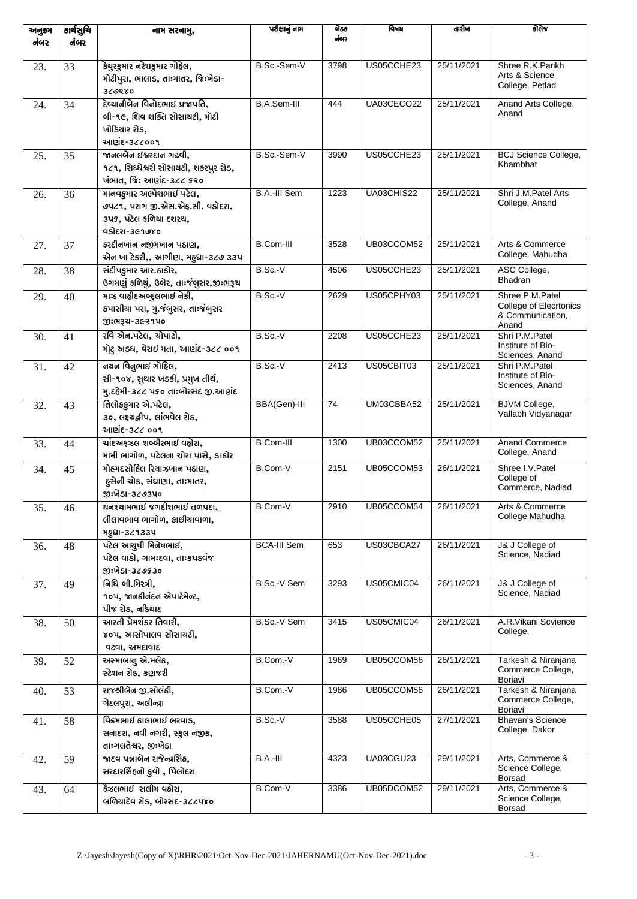| અનુક્રમ<br>નંબર | કાર્ચસુચિ<br>નંબર | નામ સરનામુ,                                                                                            | પરીક્ષાનું નામ     | બેઠક<br>નંબર    | વિષય       | તારીખ      | કોલેજ                                                                  |
|-----------------|-------------------|--------------------------------------------------------------------------------------------------------|--------------------|-----------------|------------|------------|------------------------------------------------------------------------|
|                 |                   |                                                                                                        |                    |                 |            |            |                                                                        |
| 23.             | 33                | કેચુરકુમાર નરેશકુમાર ગોહેલ,<br>મોટીપુરા, ભાલાડ, તાઃમાતર, જિઃખેડા-<br>369280                            | B.Sc.-Sem-V        | 3798            | US05CCHE23 | 25/11/2021 | Shree R.K.Parikh<br>Arts & Science<br>College, Petlad                  |
| 24.             | 34                | દેવ્યાનીબેન વિનોદભાઈ પ્રજાપતિ,<br>બી-૧૯, શિવ શક્તિ સોસાચટી, મોટી<br>ખોડિચાર રોડ,<br>આણંદ-૩૮૮૦૦૧        | B.A.Sem-III        | 444             | UA03CECO22 | 25/11/2021 | Anand Arts College,<br>Anand                                           |
| 25.             | 35                | <u> જાનલબેન ઈશ્વરદાન ગઢવી,</u><br>૧૮૧, સિધ્ધેશ્વરી સોસાચટી, શકરપુર રોડ,<br>ખંભાત, જિઃ આણંદ-૩૮૮ ૬૨૦     | B.Sc.-Sem-V        | 3990            | US05CCHE23 | 25/11/2021 | <b>BCJ Science College,</b><br>Khambhat                                |
| 26.             | 36                | માનવકુમાર અલ્પેશભાઈ પટેલ,<br>૭૫૮૧, પરાગ જી.એસ.એફ.સી. વડોદરા,<br>૩૫૬, પટેલ ફળિયા દશરથ,<br>વડોદરા-૩૯૧૭૪૦ | B.A.-III Sem       | 1223            | UA03CHIS22 | 25/11/2021 | Shri J.M.Patel Arts<br>College, Anand                                  |
| 27.             | 37                | ફરદીનખાન નજીમખાન પઠાણ,<br>એન ખા ટેકરી,, આગીણ, મહુધા-૩૮૭ ૩૩૫                                            | B.Com-III          | 3528            | UB03CCOM52 | 25/11/2021 | Arts & Commerce<br>College, Mahudha                                    |
| 28.             | 38                | સંદીપકુમાર આર.ઠાકોર,<br>ઉગમણું ફળિયું, ઉબેર, તાઃજંબુસર,જીઃભરૂચ                                         | B.Sc.-V            | 4506            | US05CCHE23 | 25/11/2021 | ASC College,<br><b>Bhadran</b>                                         |
| 29.             | 40                | માઝ વાહીદઅબ્દુલભાઈ નેકી,<br>કપાસીચા પરા, મુ.જંબુસર, તાઃજંબુસર<br>જી:ભરૂચ-૩૯૨૧૫૦                        | B.Sc.V             | 2629            | US05CPHY03 | 25/11/2021 | Shree P.M.Patel<br>College of Elecrtonics<br>& Communication,<br>Anand |
| 30.             | 41                | રવિ એન.પટેલ, ચોપાટો,<br>મોટુ અડધ, વેરાઈ મતા, આણંદ-૩૮૮ ૦૦૧                                              | B.Sc.-V            | 2208            | US05CCHE23 | 25/11/2021 | Shri P.M.Patel<br>Institute of Bio-<br>Sciences, Anand                 |
| 31.             | 42                | નચન વિનુભાઈ ગોહિલ,<br>સી-૧૦૪, સુથાર ખડકી, પ્રમુખ તીર્થ,<br>મુ.દહેમી-૩૮૮ ૫૬૦ તાઃબોરસદ જી.આણંદ           | B.Sc.-V            | 2413            | US05CBIT03 | 25/11/2021 | Shri P.M.Patel<br>Institute of Bio-<br>Sciences, Anand                 |
| 32.             | 43                | તિલોકકુમાર એ.પટેલ,<br>૩૦, લક્ષ્યશ્રીપ, લાંભવેલ રોડ,<br>આણંદ-૩૮૮ ૦૦૧                                    | BBA(Gen)-III       | $\overline{74}$ | UM03CBBA52 | 25/11/2021 | <b>BJVM College,</b><br>Vallabh Vidyanagar                             |
| 33.             | 44                | ચાંદઅફઝલ શબ્બેરભાઈ વહોરા,<br>મામી ભાગોળ, પટેલના ચોરા પાસે, ડાકોર                                       | B.Com-III          | 1300            | UB03CCOM52 | 25/11/2021 | <b>Anand Commerce</b><br>College, Anand                                |
| 34.             | 45                | મોહમદસોહિલ રિચાઝખાન પઠાણ,<br>હુસેની ચોક, સંઘાણા, તાઃમાતર,<br>જીઃખેડા-૩૮૭૩૫૦                            | B.Com-V            | 2151            | UB05CCOM53 | 26/11/2021 | Shree I.V.Patel<br>College of<br>Commerce, Nadiad                      |
| 35.             | 46                | ઘનશ્યામભાઈ જગદીશભાઈ તળપદા,<br>લીલાવભાવ ભાગોળ, કાછીચાવાળા,<br><b>พ</b> สุยเ-3८१33น                      | B.Com-V            | 2910            | UB05CCOM54 | 26/11/2021 | Arts & Commerce<br>College Mahudha                                     |
| 36.             | 48                | પટેલ આચુષી મિનેષભાઈ,<br>પટેલ વાડો, ગામઃદવા, તાઃકપડવંજ<br>જીઃખેડા-૩૮૭૬૩૦                                | <b>BCA-III Sem</b> | 653             | US03CBCA27 | 26/11/2021 | J& J College of<br>Science, Nadiad                                     |
| 37.             | 49                | <u>નિધિ બી.મિસ્ત્રી,</u><br>૧૦૫, જાનકીનંદન એપાર્ટમેન્ટ,<br>પીજ રોડ, નડિચાદ                             | B.Sc.-V Sem        | 3293            | US05CMIC04 | 26/11/2021 | J& J College of<br>Science, Nadiad                                     |
| 38.             | 50                | આરતી પ્રેમશંકર તિવારી,<br>૪૦૫, આસોપાલવ સોસાચટી,<br>વટવા, અમદાવાદ                                       | B.Sc.-V Sem        | 3415            | US05CMIC04 | 26/11/2021 | A.R.Vikani Scvience<br>College,                                        |
| 39.             | 52                | અસ્માબાનુ એ.મલેક,<br>સ્ટેશન રોડ, કણજરી                                                                 | B.Com.-V           | 1969            | UB05CCOM56 | 26/11/2021 | Tarkesh & Niranjana<br>Commerce College,<br>Boriavi                    |
| 40.             | 53                | રાજશ્રીબેન જી.સોલંકી,<br>ગેદલપુરા, અલીન્દ્રા                                                           | B.Com.-V           | 1986            | UB05CCOM56 | 26/11/2021 | Tarkesh & Niranjana<br>Commerce College,<br>Boriavi                    |
| 41.             | 58                | વિક્રમભાઈ કાલાભાઈ ભરવાડ,<br>સનાદરા, નવી નગરી, સ્કુલ નજીક,<br>તાઃગલતેશ્વર, જીઃખેડા                      | B.Sc.V             | 3588            | US05CCHE05 | 27/11/2021 | <b>Bhavan's Science</b><br>College, Dakor                              |
| 42.             | 59                | જાદવ પન્નાબેન રાજેન્દ્રસિંહ,<br>સરદારસિંહનો કુવો, પિલોદરા                                              | B.A.-III           | 4323            | UA03CGU23  | 29/11/2021 | Arts, Commerce &<br>Science College,<br><b>Borsad</b>                  |
| 43.             | 64                | ફેઝલભાઈ સલીમ વહોરા,<br>બળિયાદેવ રોડ, બોરસદ-૩૮૮૫૪૦                                                      | B.Com-V            | 3386            | UB05DCOM52 | 29/11/2021 | Arts, Commerce &<br>Science College,<br><b>Borsad</b>                  |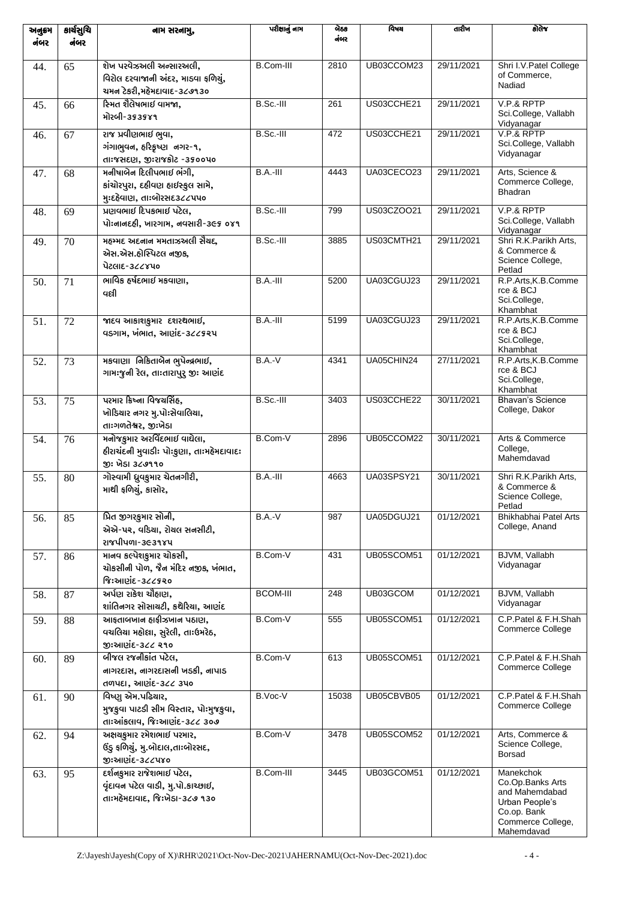| અનુક્રમ<br>નંબર | કાર્ચસુચિ<br>નંબર | નામ સરનામુ,                                                                                     | પરીક્ષાનું નામ   | બેઠક<br>નંબર | विषय       | તારીખ      | डोतेश्व                                                                                                             |
|-----------------|-------------------|-------------------------------------------------------------------------------------------------|------------------|--------------|------------|------------|---------------------------------------------------------------------------------------------------------------------|
| 44.             | 65                | શેખ પરવેઝઅલી અન્સારઅલી,<br>વિરોલ દરવાજાની અંદર, માડવા ફળિચું,<br>ચમન ટેકરી,મહેમદાવાદ-૩૮૭૧૩૦     | B.Com-III        | 2810         | UB03CCOM23 | 29/11/2021 | Shri I.V. Patel College<br>of Commerce,<br>Nadiad                                                                   |
| 45.             | 66                | સ્મિત શૈલેષભાઈ વામજા.<br>મોરબી-૩૬૩૬૪૧                                                           | $B.Sc.-III$      | 261          | US03CCHE21 | 29/11/2021 | V.P.& RPTP<br>Sci.College, Vallabh<br>Vidyanagar                                                                    |
| 46.             | 67                | રાજ પ્રવીણભાઈ ભુવા,<br>ગંગાભુવન, હરિકૃષ્ણ નગર-૧,<br>તાઃજસદણ, જીઃરાજકોટ -૩૬૦૦૫૦                  | B.Sc.-III        | 472          | US03CCHE21 | 29/11/2021 | V.P.& RPTP<br>Sci.College, Vallabh<br>Vidyanagar                                                                    |
| 47.             | 68                | મનીષાબેન દિલીપભાઈ ભંગી,<br>કાંચોરપુરા, દહીવણ હાઈસ્કુલ સામે,<br>મુઃદહેવાણ, તાઃબોરસદ૩૮૮૫૫૦        | B.A.-III         | 4443         | UA03CECO23 | 29/11/2021 | Arts, Science &<br>Commerce College,<br><b>Bhadran</b>                                                              |
| 48.             | 69                | પ્રણવભાઈ દિપકભાઈ પટેલ,<br>પોઃનાનદહી, ખારગામ, નવસારી-૩૯૬ ૦૪૧                                     | B.Sc.-III        | 799          | US03CZOO21 | 29/11/2021 | V.P.& RPTP<br>Sci.College, Vallabh<br>Vidyanagar                                                                    |
| 49.             | 70                | મહમ્મદ અદનાન મમતાઝઅલી સૈયદ,<br>એસ.એસ.હોસ્પિટલ નજીક,<br>પેટલાદ-૩૮૮૪૫૦                            | B.Sc.-III        | 3885         | US03CMTH21 | 29/11/2021 | Shri R.K.Parikh Arts.<br>& Commerce &<br>Science College,<br>Petlad                                                 |
| 50.             | 71                | ભાવિક હર્ષદભાઈ મકવાણા,<br>વલી                                                                   | $B.A.-III$       | 5200         | UA03CGUJ23 | 29/11/2021 | R.P.Arts, K.B.Comme<br>rce & BCJ<br>Sci.College,<br>Khambhat                                                        |
| 51.             | 72                | જાદવ આકાશકુમાર દશરથભાઈ,<br>વડગામ, ખંભાત, આણંદ-3૮૮૬૨૫                                            | B.A.-III         | 5199         | UA03CGUJ23 | 29/11/2021 | R.P.Arts, K.B.Comme<br>rce & BCJ<br>Sci.College,<br>Khambhat                                                        |
| 52.             | 73                | મકવાણા નિકિતાબેન ભુપેન્દ્રભાઈ,<br>ગામઃજુની રેલ, તાઃતારાપુર્ જીઃ આણંદ                            | $B.A.-V$         | 4341         | UA05CHIN24 | 27/11/2021 | R.P.Arts, K.B.Comme<br>rce & BCJ<br>Sci.College,<br>Khambhat                                                        |
| 53.             | 75                | પરમાર કિષ્ના વિજયસિંહ,<br>ખોડિયાર નગર મુ.પોઃસેવાલિયા,<br>તાઃગળતેશ્વર, જીઃખેડા                   | B.Sc.-III        | 3403         | US03CCHE22 | 30/11/2021 | <b>Bhavan's Science</b><br>College, Dakor                                                                           |
| 54.             | 76                | મનોજકુમાર અરવિંદભાઈ વાઘેલા,<br>દીરાચંદની મુવાડી: પો:કુણા, તા:મદેમદાવાદ:<br>જી: ખેડા ૩૮૭૧૧૦      | B.Com-V          | 2896         | UB05CCOM22 | 30/11/2021 | Arts & Commerce<br>College,<br>Mahemdavad                                                                           |
| 55.             | 80                | ગોસ્વામી ધ્રુવકુમાર ચેતનગીરી,<br>માથી ફળિયું, કાસોર,                                            | $B.A.-III$       | 4663         | UA03SPSY21 | 30/11/2021 | Shri R.K.Parikh Arts,<br>& Commerce &<br>Science College,<br>Petlad                                                 |
| 56.             | 85                | પ્રિત જીગરકુમાર સોની,<br>એએ-પર, વડિચા, રોચલ સનસીટી,<br><b>21841491-363984</b>                   | $B.A.-V$         | 987          | UA05DGUJ21 | 01/12/2021 | Bhikhabhai Patel Arts<br>College, Anand                                                                             |
| 57.             | 86                | માનવ કલ્પેશકુમાર ચોકસી,<br>ચોકસીની પોળ, જૈન મંદિર નજીક, ખંભાત,<br>જિઃઆણંદ-૩૮૮૬૨૦                | B.Com-V          | 431          | UB05SCOM51 | 01/12/2021 | BJVM, Vallabh<br>Vidyanagar                                                                                         |
| 58.             | 87                | અર્પણ રાકેશ ચૌહાણ,<br>શાંતિનગર સોસાચટી, કથેરિયા, આણંદ                                           | <b>BCOM-III</b>  | 248          | UB03GCOM   | 01/12/2021 | BJVM, Vallabh<br>Vidyanagar                                                                                         |
| 59.             | 88                | આફતાબખાન હાફીઝખાન પઠાણ,<br>વચલિચા મહોલા, સુરેલી, તાઃઉમરેઠ,<br>જીઃઆણંદ-૩૮૮ ૨૧૦                   | B.Com-V          | 555          | UB05SCOM51 | 01/12/2021 | C.P.Patel & F.H.Shah<br>Commerce College                                                                            |
| 60.             | 89                | બીજલ રજનીકાંત પટેલ,<br>નાગરદાસ, નાગરદાસની ખડકી, નાપાડ<br>તળપદા, આણંદ-3૮૮ ૩૫૦                    | B.Com-V          | 613          | UB05SCOM51 | 01/12/2021 | C.P.Patel & F.H.Shah<br>Commerce College                                                                            |
| 61.             | 90                | વિષ્ણુ એમ.પઢિચાર,<br>મુજકુવા પાટડી સીમ વિસ્તાર, પોઃમુજકુવા,<br>તાઃઆંકલાવ, જિઃઆણંદ-૩૮૮ ૩૦૭       | B.Voc-V          | 15038        | UB05CBVB05 | 01/12/2021 | C.P.Patel & F.H.Shah<br>Commerce College                                                                            |
| 62.             | 94                | અક્ષચકુમાર રમેશભાઈ પરમાર,<br>ઉંડુ ફળિયું, મુ.બોદાલ,તાઃબોરસદ,<br>જીઃઆણંદ-૩૮૮૫૪૦                  | B.Com-V          | 3478         | UB05SCOM52 | 01/12/2021 | Arts, Commerce &<br>Science College,<br>Borsad                                                                      |
| 63.             | 95                | દર્શનકુમાર રાજેશભાઈ પટેલ,<br>વૃંદાવન પટેલ વાડી, મુ.પો.કાચ્છાઈ,<br>તાઃમહેમદાવાદ, જિઃખેડા-૩૮૭ ૧૩૦ | <b>B.Com-III</b> | 3445         | UB03GCOM51 | 01/12/2021 | Manekchok<br>Co.Op.Banks Arts<br>and Mahemdabad<br>Urban People's<br>Co.op. Bank<br>Commerce College,<br>Mahemdavad |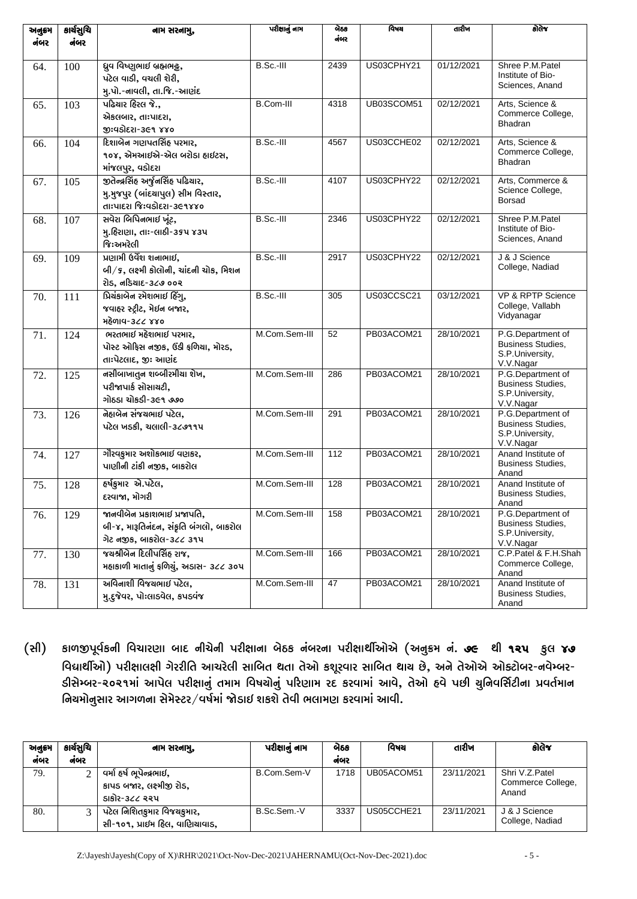| અનુક્રમ | કાર્ચસુચિ | નામ સરનામુ,                              | પરીક્ષાનું નામ | બેઠક | વિષય       | તારીખ      | કોલેજ                                         |
|---------|-----------|------------------------------------------|----------------|------|------------|------------|-----------------------------------------------|
| નંબર    | નંબર      |                                          |                | નંબર |            |            |                                               |
| 64.     | 100       | ધ્રુવ વિષ્ણુભાઈ બ્રહ્મભટ્ટ,              | B.Sc.-III      | 2439 | US03CPHY21 | 01/12/2021 | Shree P.M.Patel                               |
|         |           | પટેલ વાડી, વચલી શેરી,                    |                |      |            |            | Institute of Bio-<br>Sciences, Anand          |
|         |           | મુ.પો.-નાવલી, તા.જિ.-આણંદ                |                |      |            |            |                                               |
| 65.     | 103       | પઢિચાર હિરલ જે.,                         | B.Com-III      | 4318 | UB03SCOM51 | 02/12/2021 | Arts, Science &                               |
|         |           | એકલબાર, તાઃપાદરા,                        |                |      |            |            | Commerce College,<br><b>Bhadran</b>           |
|         |           | જીઃવડોદરા-૩૯૧ ૪૪૦                        |                |      |            |            |                                               |
| 66.     | 104       | દિશાબેન ગણપતસિંહ પરમાર,                  | $B.Sc.-III$    | 4567 | US03CCHE02 | 02/12/2021 | Arts, Science &<br>Commerce College,          |
|         |           | ૧૦૪, એમઆઈએ-એલ બરોડા હાઈટસ,               |                |      |            |            | <b>Bhadran</b>                                |
|         |           | માંજલપુર, વડોદરા                         |                |      |            |            |                                               |
| 67.     | 105       | જીતેન્દ્રસિંહ અર્જુનસિંહ પઢિયાર,         | B.Sc.-III      | 4107 | US03CPHY22 | 02/12/2021 | Arts, Commerce &<br>Science College,          |
|         |           | મુ.મુજપુર (બાંદચાપુલ) સીમ વિસ્તાર,       |                |      |            |            | Borsad                                        |
|         |           | તાઃપાદરા જિઃવડોદરા-૩૯૧૪૪૦                |                |      |            | 02/12/2021 |                                               |
| 68.     | 107       | સવેરા બિપિનભાઈ ખૂંટ,                     | B.Sc.-III      | 2346 | US03CPHY22 |            | Shree P.M.Patel<br>Institute of Bio-          |
|         |           | મુ.હિરાણા, તાઃ-લાઠી-૩૬૫ ૪૩૫<br>જિ:અમરેલી |                |      |            |            | Sciences, Anand                               |
|         |           | પ્રણામી ઉર્વેશ શનાભાઈ,                   | $B.Sc.-III$    | 2917 | US03CPHY22 | 02/12/2021 | J & J Science                                 |
| 69.     | 109       | બી/૬, લક્ષ્મી કોલોની, ચાંદની ચોક, મિશન   |                |      |            |            | College, Nadiad                               |
|         |           | રોડ, નડિચાદ-૩૮૭ ૦૦૨                      |                |      |            |            |                                               |
| 70.     | 111       | પ્રિચંકાબેન રમેશભાઈ દિંગુ,               | B.Sc.-III      | 305  | US03CCSC21 | 03/12/2021 | VP & RPTP Science                             |
|         |           | જવાહર સ્ટ્રીટ, મેઈન બજાર,                |                |      |            |            | College, Vallabh                              |
|         |           | મહેળાવ-3૮૮ ૪૪૦                           |                |      |            |            | Vidyanagar                                    |
| 71.     | 124       | ભરતભાઈ મહેશભાઈ પરમાર,                    | M.Com.Sem-III  | 52   | PB03ACOM21 | 28/10/2021 | P.G.Department of                             |
|         |           | પોસ્ટ ઓફિસ નજીક, ઉંડી ફળિયા, મોરડ,       |                |      |            |            | Business Studies,                             |
|         |           | તાઃપેટલાદ, જીઃ આણંદ                      |                |      |            |            | S.P.University,<br>V.V.Nagar                  |
| 72.     | 125       | નસીબાખાતુન શબ્બીરમીચા શેખ,               | M.Com.Sem-III  | 286  | PB03ACOM21 | 28/10/2021 | P.G.Department of                             |
|         |           | પરીજાપાર્ક સોસાચટી,                      |                |      |            |            | Business Studies,                             |
|         |           | ગોઠડા ચોકડી-૩૯૧ ૭૭૦                      |                |      |            |            | S.P.University,<br>V.V.Nagar                  |
| 73.     | 126       | નેહાબેન સંજચભાઈ પટેલ,                    | M.Com.Sem-III  | 291  | PB03ACOM21 | 28/10/2021 | P.G.Department of                             |
|         |           | પટેલ ખડકી, ચલાલી-૩૮૭૧૧૫                  |                |      |            |            | Business Studies,                             |
|         |           |                                          |                |      |            |            | S.P.University,<br>V.V.Nagar                  |
| 74.     | 127       | ગૌરવકુમાર અશોકભાઈ વણકર,                  | M.Com.Sem-III  | 112  | PB03ACOM21 | 28/10/2021 | Anand Institute of                            |
|         |           | પાણીની ટાંકી નજીક, બાકરોલ                |                |      |            |            | Business Studies,                             |
|         |           | હર્ષકુમાર એ.પટેલ,                        | M.Com.Sem-III  | 128  | PB03ACOM21 | 28/10/2021 | Anand<br>Anand Institute of                   |
| 75.     | 128       | દરવાજા, મોગરી                            |                |      |            |            | Business Studies,                             |
|         |           |                                          |                |      |            |            | Anand                                         |
| 76.     | 129       | જાનવીબેન પ્રકાશભાઈ પ્રજાપતિ,             | M.Com.Sem-III  | 158  | PB03ACOM21 | 28/10/2021 | P.G.Department of<br><b>Business Studies,</b> |
|         |           | બી-૪, મારૂતિનંદન, સંકૃતિ બંગલો, બાકરોલ   |                |      |            |            | S.P.University,                               |
|         |           | ગેટ નજીક, બાકરોલ-૩૮૮ ૩૧૫                 |                |      |            |            | V.V.Nagar                                     |
| 77.     | 130       | જયશ્રીબેન દિલીપસિંહ રાજ,                 | M.Com.Sem-III  | 166  | PB03ACOM21 | 28/10/2021 | C.P.Patel & F.H.Shah                          |
|         |           | મહાકાળી માતાનું ફળિચું, અડાસ- ૩૮૮ ૩૦૫    |                |      |            |            | Commerce College,<br>Anand                    |
| 78.     | 131       | અવિનાશી વિજચભાઈ પટેલ,                    | M.Com.Sem-III  | 47   | PB03ACOM21 | 28/10/2021 | Anand Institute of                            |
|         |           | મુ.દુજેવર, પોઃલાડવેલ, કપડવંજ             |                |      |            |            | Business Studies,<br>Anand                    |
|         |           |                                          |                |      |            |            |                                               |

કાળજીપૂર્વકની વિચારણા બાદ નીચેની પરીક્ષાના બેઠક નંબરના પરીક્ષાર્થીઓએ (અનુક્રમ નં. ૭૯ થી ૧૨૫ ફુલ ૪૭ (સી) વિદ્યાર્થીઓ) પરીક્ષાલક્ષી ગેરરીતિ આચરેલી સાબિત થતા તેઓ કશૂરવાર સાબિત થાચ છે, અને તેઓએ ઓક્ટોબર-નવેમ્બર-ડીસેમ્બર-૨૦૨૧માં આપેલ પરીક્ષાનું તમામ વિષચોનું પરિણામ રદ કરવામાં આવે, તેઓ હવે પછી ચુનિવર્સિટીના પ્રવર્તમાન નિયમોનુસાર આગળના સેમેસ્ટર/વર્ષમાં જોડાઈ શકશે તેવી ભલામણ કરવામાં આવી.

| અનુક્રમ | કાર્ચસૂચિ | નામ સરનામુ,                                                            | પરીક્ષાનું નામ | બેઠક | વિષય       | તારીખ      | કોલેજ                                        |
|---------|-----------|------------------------------------------------------------------------|----------------|------|------------|------------|----------------------------------------------|
| નંબર    | નંબર      |                                                                        |                | નંબર |            |            |                                              |
| 79.     |           | વર્મા હર્ષ ભૂપેન્દ્રભાઈ,<br>કાપડ બજાર, લક્ષ્મીજી રોડ,<br>ડાકોર-૩૮૮ રરપ | B.Com.Sem-V    | 1718 | UB05ACOM51 | 23/11/2021 | Shri V.Z.Patel<br>Commerce College,<br>Anand |
| 80.     |           | પટેલ નિશિતકુમાર વિજચકુમાર,<br>સી-૧૦૧, પ્રાઈમ હિલ, વાણિચાવાડ,           | B.Sc.Sem.-V    | 3337 | US05CCHE21 | 23/11/2021 | J & J Science<br>College, Nadiad             |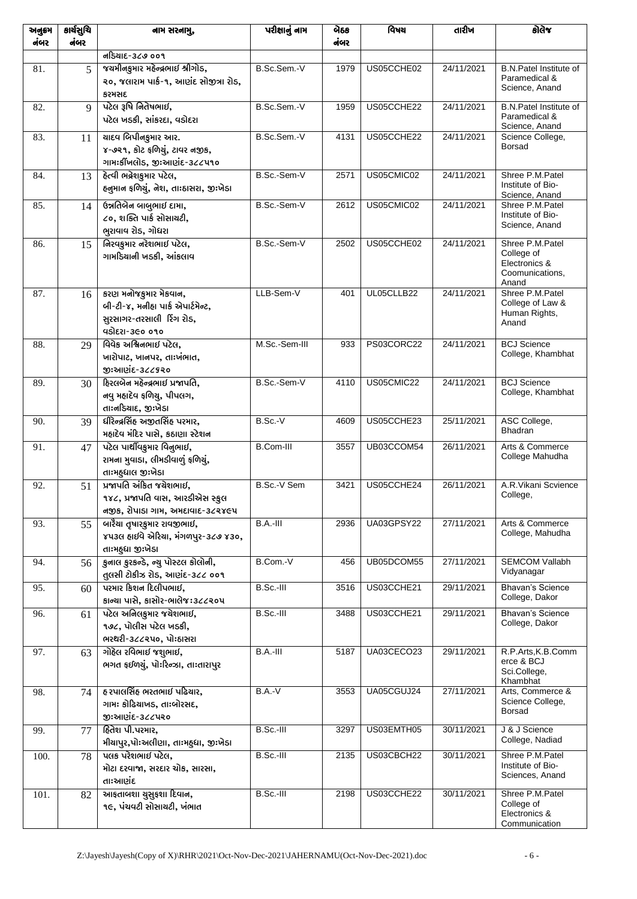| અનુક્રમ<br>નંબર | કાર્ચસુચિ<br>નંબર | નામ સરનામુ,                                                                                             | પરીક્ષાનું નામ   | બેઠક<br>નંબર | વિષય       | તારીખ      | કોલેજ                                                                      |
|-----------------|-------------------|---------------------------------------------------------------------------------------------------------|------------------|--------------|------------|------------|----------------------------------------------------------------------------|
|                 |                   | નડિયાદ-૩૮૭ ૦૦૧                                                                                          |                  |              |            |            |                                                                            |
| 81.             | $\overline{5}$    | જચમીનકુમાર મહેન્દ્રભાઈ શ્રીગોડ,<br>૨૦, જલારામ પાર્ક-૧, આણંદ સોજીત્રા રોડ,<br>કરમસદ                      | B.Sc.Sem.-V      | 1979         | US05CCHE02 | 24/11/2021 | <b>B.N.Patel Institute of</b><br>Paramedical &<br>Science, Anand           |
| 82.             | 9                 | પટેલ રૂષિ નિતેષભાઈ,<br>પટેલ ખડકી, સાંકરદા, વડોદરા                                                       | B.Sc.Sem.-V      | 1959         | US05CCHE22 | 24/11/2021 | <b>B.N.Patel Institute of</b><br>Paramedical &<br>Science, Anand           |
| 83.             | 11                | यादृप બિપીનકુમાર આર.<br>૪-૭૨૧, કોટ ફળિચું, ટાવર નજીક,<br>ગામઃકીંખલોડ, જીઃઆણંદ-૩૮૮૫૧૦                    | B.Sc.Sem.-V      | 4131         | US05CCHE22 | 24/11/2021 | Science College,<br><b>Borsad</b>                                          |
| 84.             | 13                | <u> દેત્વી ભદ્રેશકુમાર પટેલ,</u><br>હનુમાન ફળિચું, નેશ, તાઃઠાસરા, જીઃખેડા                               | B.Sc.-Sem-V      | 2571         | US05CMIC02 | 24/11/2021 | Shree P.M.Patel<br>Institute of Bio-<br>Science, Anand                     |
| 85.             | 14                | ઉન્નતિબેન બાબુભાઈ દામા,<br>૮૦, શક્તિ પાર્ક સોસાયટી,<br>ભુરાવાવ રોડ, ગોધરા                               | B.Sc.-Sem-V      | 2612         | US05CMIC02 | 24/11/2021 | Shree P.M.Patel<br>Institute of Bio-<br>Science, Anand                     |
| 86.             | 15                | નિરવકુમાર નરેશભાઈ પટેલ,<br>ગામડિયાની ખડકી, આંકલાવ                                                       | B.Sc.-Sem-V      | 2502         | US05CCHE02 | 24/11/2021 | Shree P.M.Patel<br>College of<br>Electronics &<br>Coomunications,<br>Anand |
| 87.             | 16                | કરણ મનોજકુમાર મેકવાન,<br>બી-ટી-૪, મનીહા પાર્ક એપાર્ટમેન્ટ,<br>સુરસાગર-તરસાલી રિંગ રોડ,<br>99951-360 090 | LLB-Sem-V        | 401          | UL05CLLB22 | 24/11/2021 | Shree P.M.Patel<br>College of Law &<br>Human Rights,<br>Anand              |
| 88.             | 29                | વિવેક અશ્વિનભાઈ પટેલ,<br>ખારોપાટ, ખાનપર, તાઃખંભાત,<br>જીઃઆણંદ-૩૮૮૬૨૦                                    | M.Sc.-Sem-III    | 933          | PS03CORC22 | 24/11/2021 | <b>BCJ Science</b><br>College, Khambhat                                    |
| 89.             | 30                | દિરલબેન મહેન્દ્રભાઈ પ્રજાપતિ,<br>નવુ મહાદેવ ફળિચુ, પીપલગ,<br>તાઃનડિયાદ, જીઃખેડા                         | B.Sc.-Sem-V      | 4110         | US05CMIC22 | 24/11/2021 | <b>BCJ</b> Science<br>College, Khambhat                                    |
| 90.             | 39                | ધીરેન્દ્રસિંહ અજીતસિંહ પરમાર,<br>મહાદેવ મંદિર પાસે, કઠાણા સ્ટેશન                                        | B.Sc.V           | 4609         | US05CCHE23 | 25/11/2021 | ASC College,<br>Bhadran                                                    |
| 91.             | 47                | પટેલ પાર્થીવકુમાર વિનુભાઈ,<br>રામના મુવાડા, લીમડીવાળું ફળિચું,<br>તાઃમહુધાલ જીઃખેડા                     | <b>B.Com-III</b> | 3557         | UB03CCOM54 | 26/11/2021 | Arts & Commerce<br>College Mahudha                                         |
| 92.             | 51                | પ્રજાપતિ અંકિત જચેશભાઈ,<br>૧૪૮, પ્રજાપતિ વાસ, આરડીએસ સ્કુલ<br>નજીક, રોપાડા ગામ, અમદાવાદ-૩૮૨૪૯૫          | B.Sc.-V Sem      | 3421         | US05CCHE24 | 26/11/2021 | A.R.Vikani Scvience<br>College,                                            |
| 93.             | 55                | બારૈયા તૃષારકુમાર રાવજીભાઈ,<br>૪૫૩લ હાઈવે એરિચા, મંગળપુર-૩૮૭ ૪૩૦,<br>તાઃમદુધા જીઃખેડા                   | B.A.-III         | 2936         | UA03GPSY22 | 27/11/2021 | Arts & Commerce<br>College, Mahudha                                        |
| 94.             | 56                | કુનાલ કુરકન્ડે, ન્યુ પોસ્ટલ કોલોની,<br>તુલસી ટોકીઝ રોડ, આણંદ-૩૮૮ ૦૦૧                                    | B.Com. V         | 456          | UB05DCOM55 | 27/11/2021 | <b>SEMCOM Vallabh</b><br>Vidyanagar                                        |
| 95.             | 60                | પરમાર કિશન દિલીપભાઈ,<br>કાન્યા પાસે, કાસોર-ભાલેજ:૩૮૮૨૦૫                                                 | B.Sc.-III        | 3516         | US03CCHE21 | 29/11/2021 | <b>Bhavan's Science</b><br>College, Dakor                                  |
| 96.             | 61                | પટેલ અનિલકુમાર જચેશભાઈ,<br>૧૭૮, પોલીસ પટેલ ખડકી,<br>ભરથરી-૩૮૮૨૫૦, પોઃઠાસરા                              | B.Sc.-III        | 3488         | US03CCHE21 | 29/11/2021 | <b>Bhavan's Science</b><br>College, Dakor                                  |
| 97.             | 63                | ગોહેલ રવિભાઈ જશુભાઈ,<br>ભગત ફઈળચું, પોઃરિન્ઝા, તાઃતારાપુર                                               | B.A.-III         | 5187         | UA03CECO23 | 29/11/2021 | R.P.Arts, K.B.Comm<br>erce & BCJ<br>Sci.College,<br>Khambhat               |
| 98.             | 74                | હ રપાલસિંહ ભરતભાઈ પઢિચાર,<br>ગામઃ કોઢિયાખડ, તાઃબોરસદ,<br>જીઃઆણંદ-૩૮૮૫૨૦                                 | $B.A.-V$         | 3553         | UA05CGUJ24 | 27/11/2021 | Arts, Commerce &<br>Science College,<br><b>Borsad</b>                      |
| 99.             | 77                | હિતેશ પી.પરમાર,<br>મીચાપુર,પોઃઅલીણા, તાઃમહુધા, જીઃખેડા                                                  | B.Sc.-III        | 3297         | US03EMTH05 | 30/11/2021 | J & J Science<br>College, Nadiad                                           |
| 100.            | 78                | પલક પરેશભાઈ પટેલ,<br>મોટા દરવાજા, સરદાર ચોક, સારસા,<br>તાઃઆણંદ                                          | B.Sc.-III        | 2135         | US03CBCH22 | 30/11/2021 | Shree P.M.Patel<br>Institute of Bio-<br>Sciences, Anand                    |
| 101.            | 82                | આફતાબશા ચુસુફશા દિવાન,<br>૧૯, પંચવટી સોસાચટી, ખંભાત                                                     | B.Sc.-III        | 2198         | US03CCHE22 | 30/11/2021 | Shree P.M.Patel<br>College of<br>Electronics &<br>Communication            |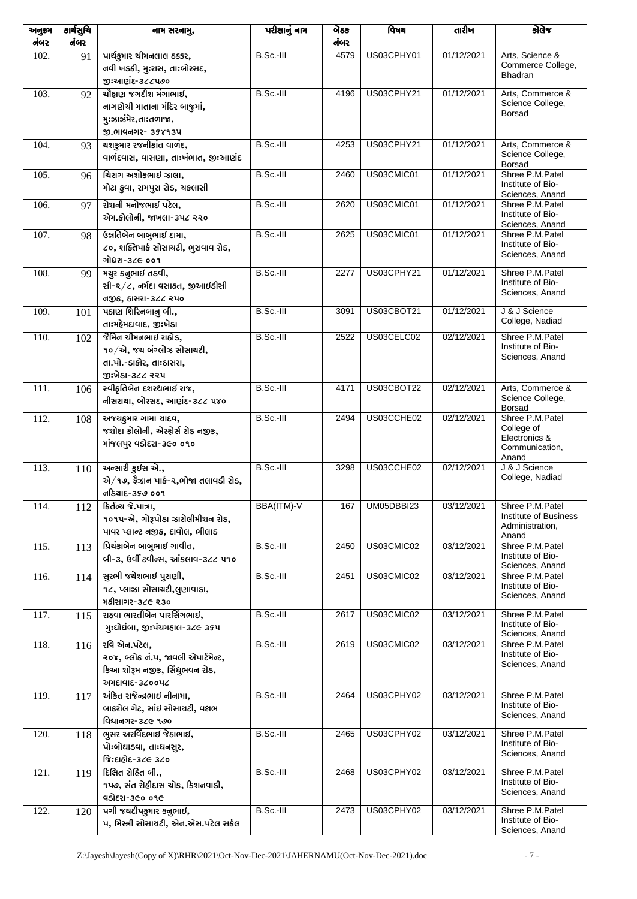| અનુક્રમ<br>નંબર | કાર્ચસુચિ<br>નંબર | નામ સરનામુ,                           | પરીક્ષાનું નામ | બેઠક<br>નંબર | विषय       | તારીખ      | કોલેજ                                |
|-----------------|-------------------|---------------------------------------|----------------|--------------|------------|------------|--------------------------------------|
| 102.            | 91                | પાર્થકુમાર ચીમનલાલ ઠક્કર,             | B.Sc.-III      | 4579         | US03CPHY01 | 01/12/2021 | Arts, Science &                      |
|                 |                   | નવી ખડકી, મુઃરાસ, તાઃબોરસદ,           |                |              |            |            | Commerce College,                    |
|                 |                   | જીઃઆણંદ-૩૮૮૫૭૦                        |                |              |            |            | Bhadran                              |
| 103.            | 92                | ચૌહાણ જગદીશ મંગાભાઈ,                  | B.Sc.-III      | 4196         | US03CPHY21 | 01/12/2021 | Arts, Commerce &                     |
|                 |                   | નાગણેચી માતાના મંદિર બાજુમાં,         |                |              |            |            | Science College,                     |
|                 |                   | મુઃઝાઝંમેર,તાઃતળાજા,                  |                |              |            |            | <b>Borsad</b>                        |
|                 |                   | S. ભાવનગર- 358934                     |                |              |            |            |                                      |
| 104.            | 93                | ચશકુમાર રજનીકાંત વાળંદ,               | $B.Sc.-III$    | 4253         | US03CPHY21 | 01/12/2021 | Arts, Commerce &                     |
|                 |                   | વાળંદવાસ, વાસણા, તાઃખંભાત, જીઃઆણંદ    |                |              |            |            | Science College,                     |
|                 |                   |                                       |                |              |            | 01/12/2021 | <b>Borsad</b>                        |
| 105.            | 96                | ચિરાગ અશોકભાઈ ઝાલા,                   | B.Sc.-III      | 2460         | US03CMIC01 |            | Shree P.M.Patel<br>Institute of Bio- |
|                 |                   | મોટા કુવા, રામપુરા રોડ, ચકલાસી        |                |              |            |            | Sciences, Anand                      |
| 106.            | 97                | રોશની મનોજભાઈ પટેલ,                   | B.Sc.-III      | 2620         | US03CMIC01 | 01/12/2021 | Shree P.M.Patel                      |
|                 |                   | એમ.કોલોની, જાખલા-૩૫૮ ૨૨૦              |                |              |            |            | Institute of Bio-<br>Sciences, Anand |
| 107.            | 98                | ઉન્નતિબેન બાબુભાઈ દામા,               | B.Sc.-III      | 2625         | US03CMIC01 | 01/12/2021 | Shree P.M.Patel                      |
|                 |                   | ૮૦, શક્તિપાર્ક સોસાચટી, ભુરાવાવ રોડ,  |                |              |            |            | Institute of Bio-                    |
|                 |                   | ગોધરા-૩૮૯ ૦૦૧                         |                |              |            |            | Sciences, Anand                      |
| 108.            | 99                | મચુર કનુભાઈ તડવી,                     | B.Sc.-III      | 2277         | US03CPHY21 | 01/12/2021 | Shree P.M.Patel                      |
|                 |                   | સી-૨/૮, નર્મદા વસાહત, જીઆઈડીસી        |                |              |            |            | Institute of Bio-<br>Sciences, Anand |
|                 |                   | નજીક, ઠાસરા-૩૮૮ રપ૦                   |                |              |            |            |                                      |
| 109.            | 101               | પઠાણ શિરિનબાનુ બી.,                   | B.Sc.-III      | 3091         | US03CBOT21 | 01/12/2021 | J & J Science                        |
|                 |                   | તાઃમહેમદાવાદ, જીઃખેડા                 |                |              |            |            | College, Nadiad                      |
| 110.            | 102               | જેમિન ચીમનભાઈ રાઠોડ,                  | B.Sc.-III      | 2522         | US03CELC02 | 02/12/2021 | Shree P.M.Patel<br>Institute of Bio- |
|                 |                   | ૧૦/એ, જય બંગ્લોઝ સોસાયટી,             |                |              |            |            | Sciences, Anand                      |
|                 |                   | તા.પો.-ડાકોર, તાઃઠાસરા,               |                |              |            |            |                                      |
|                 |                   | જીઃખેડા-૩૮૮ રરપ                       |                |              |            |            |                                      |
| 111.            | 106               | સ્વીકૃતિબેન દશરથભાઈ રાજ,              | B.Sc.-III      | 4171         | US03CBOT22 | 02/12/2021 | Arts, Commerce &<br>Science College, |
|                 |                   | નીસરાચા, બોરસદ, આણંદ-૩૮૮ ૫૪૦          |                |              |            |            | <b>Borsad</b>                        |
| 112.            | 108               | અજચકુમાર ગામા ચાદવ,                   | B.Sc.-III      | 2494         | US03CCHE02 | 02/12/2021 | Shree P.M.Patel                      |
|                 |                   | જશોદા કોલોની, એરફોર્સ રોડ નજીક,       |                |              |            |            | College of<br>Electronics &          |
|                 |                   | માંજલપુર વડોદરા-૩૯૦ ૦૧૦               |                |              |            |            | Communication,                       |
|                 |                   | અન્સારી કુઈસ એ.,                      | B.Sc.-III      | 3298         | US03CCHE02 | 02/12/2021 | Anand<br>J & J Science               |
| 113.            | 110               | એ/૧૭, ફેઝાન પાર્ક-૨,ભોજા તલાવડી રોડ,  |                |              |            |            | College, Nadiad                      |
|                 |                   | નડિચાદ-૩૬૭ ૦૦૧                        |                |              |            |            |                                      |
| 114.            | 112               | डिर्तन्य ४.पात्रा,                    | BBA(ITM)-V     | 167          | UM05DBBI23 | 03/12/2021 | Shree P.M.Patel                      |
|                 |                   | ૧૦૧૫-એ, ગોરૂપોડા ઝારોલીમીશન રોડ,      |                |              |            |            | Institute of Business                |
|                 |                   | પાવર પ્લાન્ટ નજીક, દાવોલ, ભીલાડ       |                |              |            |            | Administration,<br>Anand             |
| 115.            | 113               | પ્રિચંકાબેન બાબુભાઈ ગાવીત,            | B.Sc.-III      | 2450         | US03CMIC02 | 03/12/2021 | Shree P.M.Patel                      |
|                 |                   | બી-૩, ઉર્વી ટવીન્સ, આંકલાવ-૩૮૮ ૫૧૦    |                |              |            |            | Institute of Bio-                    |
|                 |                   | સુરભી જચેશભાઈ પુરાણી,                 | B.Sc.-III      | 2451         | US03CMIC02 | 03/12/2021 | Sciences, Anand<br>Shree P.M.Patel   |
| 116.            | 114               | ૧૮, પ્લાઝા સોસાચટી,લુણાવાડા,          |                |              |            |            | Institute of Bio-                    |
|                 |                   | મહીસાગર-૩૮૯ ૨૩૦                       |                |              |            |            | Sciences, Anand                      |
| 117.            | 115               | રાઠવા ભારતીબેન પારસિંગભાઈ,            | B.Sc.-III      | 2617         | US03CMIC02 | 03/12/2021 | Shree P.M.Patel                      |
|                 |                   | મુ:ઘોઘંબા, જી:પંચમહાલ-૩૮૯ ૩૬૫         |                |              |            |            | Institute of Bio-                    |
|                 |                   | રવિ એન.પટેલ,                          | B.Sc.-III      | 2619         | US03CMIC02 | 03/12/2021 | Sciences, Anand<br>Shree P.M.Patel   |
| 118.            | 116               | ૨૦૪, બ્લોક નં.૫, જાવલી એપાર્ટમેન્ટ,   |                |              |            |            | Institute of Bio-                    |
|                 |                   | કિઆ શોરૂમ નજીક, સિંધુભવન રોડ,         |                |              |            |            | Sciences, Anand                      |
|                 |                   | અમદાવાદ-૩૮૦૦૫૮                        |                |              |            |            |                                      |
| 119.            | 117               | અંકિત રાજેન્દ્રભાઈ નીનામા,            | B.Sc.-III      | 2464         | US03CPHY02 | 03/12/2021 | Shree P.M.Patel                      |
|                 |                   | બાકરોલ ગેટ, સાંઈ સોસાચટી, વલભ         |                |              |            |            | Institute of Bio-                    |
|                 |                   | વિદ્યાનગર-૩૮૯ ૧૭૦                     |                |              |            |            | Sciences, Anand                      |
| 120.            | 118               | ભુસર અરવિંદભાઈ જેઠાભાઈ,               | B.Sc.-III      | 2465         | US03CPHY02 | 03/12/2021 | Shree P.M.Patel                      |
|                 |                   | પોઃબોઘાડવા, તાઃધનસુર,                 |                |              |            |            | Institute of Bio-                    |
|                 |                   | જિઃદાહોદ-૩૮૯ ૩૮૦                      |                |              |            |            | Sciences, Anand                      |
| 121.            | 119               | દિક્ષિત રોહિત બી.,                    | B.Sc.-III      | 2468         | US03CPHY02 | 03/12/2021 | Shree P.M.Patel                      |
|                 |                   | ૧૫૭, સંત રોહીદાસ ચોક, કિશનવાડી,       |                |              |            |            | Institute of Bio-                    |
|                 |                   | 45) ยะเ-360 096                       |                |              |            |            | Sciences, Anand                      |
| 122.            | 120               | પગી જચદીપકુમાર કનુભાઈ,                | B.Sc.-III      | 2473         | US03CPHY02 | 03/12/2021 | Shree P.M.Patel                      |
|                 |                   | પ, મિસ્ત્રી સોસાચટી, એન.એસ.પટેલ સર્કલ |                |              |            |            | Institute of Bio-<br>Sciences, Anand |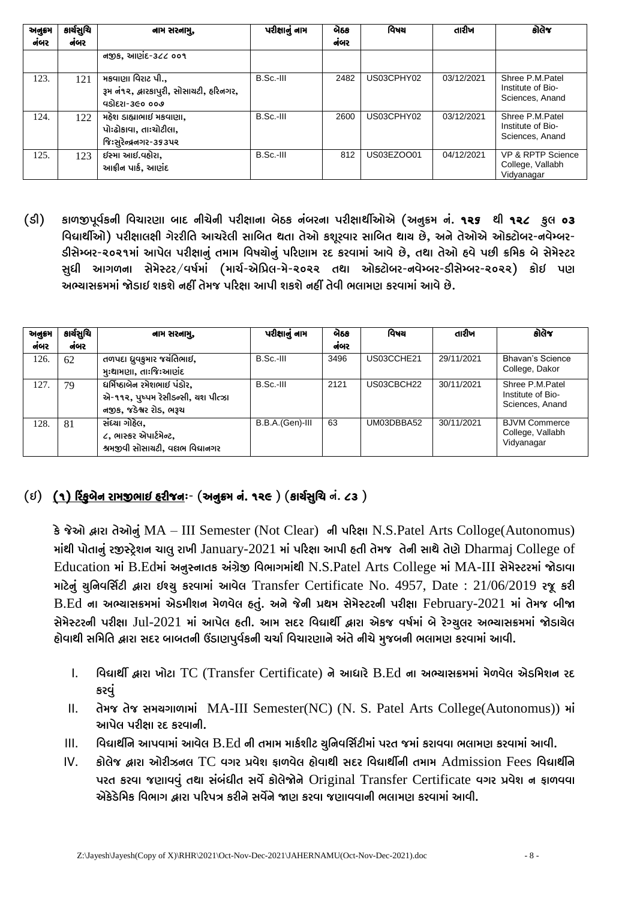| અનુક્રમ<br>નંબર | કાર્યસુચિ<br>નંબર | નામ સરનામ,                                                                     | પરીક્ષાનું નામ | બેઠક<br>નંબર | વિષય       | તારીખ      | કોલેજ                                                   |
|-----------------|-------------------|--------------------------------------------------------------------------------|----------------|--------------|------------|------------|---------------------------------------------------------|
|                 |                   | નજીક, આણંદ-૩૮૮ ૦૦૧                                                             |                |              |            |            |                                                         |
| 123.            | 121               | મકવાણા વિરાટ પી.,<br>રૂમ નં૧૨, દ્વારકાપુરી, સોસાચટી, હરિનગર,<br>५ऽोदृश-३૯० ००७ | B.Sc.-III      | 2482         | US03CPHY02 | 03/12/2021 | Shree P.M.Patel<br>Institute of Bio-<br>Sciences, Anand |
| 124.            | 122               | મહેશ ડાહ્યાભાઈ મકવાણા,<br>પોઃઢોકાવા, તાઃચોટીલા,<br>જિઃસુરેન્દ્રનગર-૩૬૩૫૨       | B.Sc.-III      | 2600         | US03CPHY02 | 03/12/2021 | Shree P.M.Patel<br>Institute of Bio-<br>Sciences, Anand |
| 125.            | 123               | ઈસ્મા આઈ.વહોરા,<br>આફ્રીન પાર્ક, આણંદ                                          | B.Sc.-III      | 812          | US03EZOO01 | 04/12/2021 | VP & RPTP Science<br>College, Vallabh<br>Vidyanagar     |

કાળજીપૂર્વકની વિચારણા બાદ નીચેની પરીક્ષાના બેઠક નંબરના પરીક્ષાર્થીઓએ (અનુક્રમ નં. ૧૨૬ થી ૧૨૮ કુલ ૦૩  $(S)$ વિદ્યાર્થીઓ) પરીક્ષાલક્ષી ગેરરીતિ આચરેલી સાબિત થતા તેઓ કશૂરવાર સાબિત થાય છે, અને તેઓએ ઓક્ટોબર-નવેમ્બર-ડીસેમ્બર-૨૦૨૧માં આપેલ પરીક્ષાનું તમામ વિષચોનું પરિણામ રદ કરવામાં આવે છે, તથા તેઓ હવે પછી ક્રમિક બે સેમેસ્ટર સુધી આગળના સેમેસ્ટર/વર્ષમાં (માર્ચ-એપ્રિલ-મે-૨૦૨૨ તથા ઓક્ટોબર-નવેમ્બર-ડીસેમ્બર-૨૦૨૨) કોઈ પણ અભ્યાસક્રમમાં જોડાઈ શકશે નહીં તેમજ પરિક્ષા આપી શકશે નહીં તેવી ભલામણ કરવામાં આવે છે.

| અનુક્રમ | કાર્ચસૂચિ | નામ સરનામુ,                                                                                    | પરીક્ષાનું નામ  | બેઠક | વિષય       | તારીખ      | કોલેજ                                                   |
|---------|-----------|------------------------------------------------------------------------------------------------|-----------------|------|------------|------------|---------------------------------------------------------|
| નંબર    | નંબર      |                                                                                                |                 | નંબર |            |            |                                                         |
| 126.    | 62        | તળપદા ધ્રુવકુમાર જચંતિભાઈ,<br>મુઃથામણા, તાઃજિઃઆણંદ                                             | $B.Sc.-III$     | 3496 | US03CCHE21 | 29/11/2021 | Bhavan's Science<br>College, Dakor                      |
| 127.    | 79        | દ્યર્ગિષ્ઠાબેન રમેશભાઈ પંડોર,<br>એ-૧૧૨, પુષ્પમ રેસીડન્સી, ચશ પીત્ઝા<br>નજીક, જડેશ્વર રોડ, ભરૂચ | $B.Sc.-III$     | 2121 | US03CBCH22 | 30/11/2021 | Shree P.M.Patel<br>Institute of Bio-<br>Sciences, Anand |
| 128.    | 81        | સંધ્યા ગોહેલ.<br>૮, ભાસ્કર એપાર્ટમેન્ટ,<br>શ્રમજીવી સોસાચટી, વલભ વિદ્યાનગર                     | B.B.A.(Gen)-III | 63   | UM03DBBA52 | 30/11/2021 | <b>BJVM Commerce</b><br>College, Vallabh<br>Vidyanagar  |

## $(5)$  (૧) ર્રિફુબેન રામજીભાઈ હરીજનઃ- (અનુક્રમ નં. ૧૨૯) (કાર્ચસુચિ નં. ૮૩)

કે જેઓ દ્વારા તેઓનું MA – III Semester (Not Clear) ની પરિક્ષા N.S.Patel Arts Colloge (Autonomus) માંથી પોતાનું રજીસ્ટ્રેશન ચાલુ રાખી January-2021 માં પરિક્ષા આપી હતી તેમજ તેની સાથે તેણે Dharmaj College of Education માં B.Edમાં અનુસ્નાતક અંગ્રેજી વિભાગમાંથી N.S.Patel Arts College માં MA-III સેમેસ્ટરમાં જોડાવા માટેનું યુનિવર્સિટી દ્વારા ઇશ્ચુ કરવામાં આવેલ Transfer Certificate No. 4957, Date : 21/06/2019 રજૂ કરી  $B.Ed$  ના અભ્યાસક્રમમાં એડમીશન મેળવેલ હતું. અને જેની પ્રથમ સેમેસ્ટરની પરીક્ષા February-2021 માં તેમજ બીજા સેમેસ્ટરની પરીક્ષા Jul-2021 માં આપેલ હતી. આમ સદર વિદ્યાર્થી દ્વારા એકજ વર્ષમાં બે રેગ્યુલર અભ્યાસક્રમમાં જોડાયેલ હોવાથી સમિતિ દ્વારા સદર બાબતની ઉંડાણપુર્વકની ચર્ચા વિચારણાને અંતે નીચે મુજબની ભલામણ કરવામાં આવી.

- વિદ્યાર્થી દ્વારા ખોટા TC (Transfer Certificate) ને આધારે B.Ed ના અભ્યાસક્રમમાં મેળવેલ એડમિશન રદ  $\mathbf{L}$ કરવું
- तेभ रते अभयगाणामां MA-III Semester(NC) (N. S. Patel Arts College(Autonomus)) भां  $\Pi$ . આપેલ પરીક્ષા રદ કરવાની.
- વિદ્યાર્થીને આપવામાં આવેલ B.Ed ની તમામ માર્કશીટ ચુનિવર્સિટીમાં પરત જમાં કરાવવા ભલામણ કરવામાં આવી.  $III.$
- કોલેજ દ્વારા ઓરીઝનલ TC વગર પ્રવેશ ફાળવેલ હોવાથી સદર વિદ્યાર્થીની તમામ  $Admission$  Fees વિદ્યાર્થીને  $IV.$ પરત કરવા જણાવવું તથા સંબંધીત સર્વે કોલેજોને Original Transfer Certificate વગર પ્રવેશ ન ફાળવવા એકેડેમિક વિભાગ દ્વારા પરિપત્ર કરીને સર્વેને જાણ કરવા જણાવવાની ભલામણ કરવામાં આવી.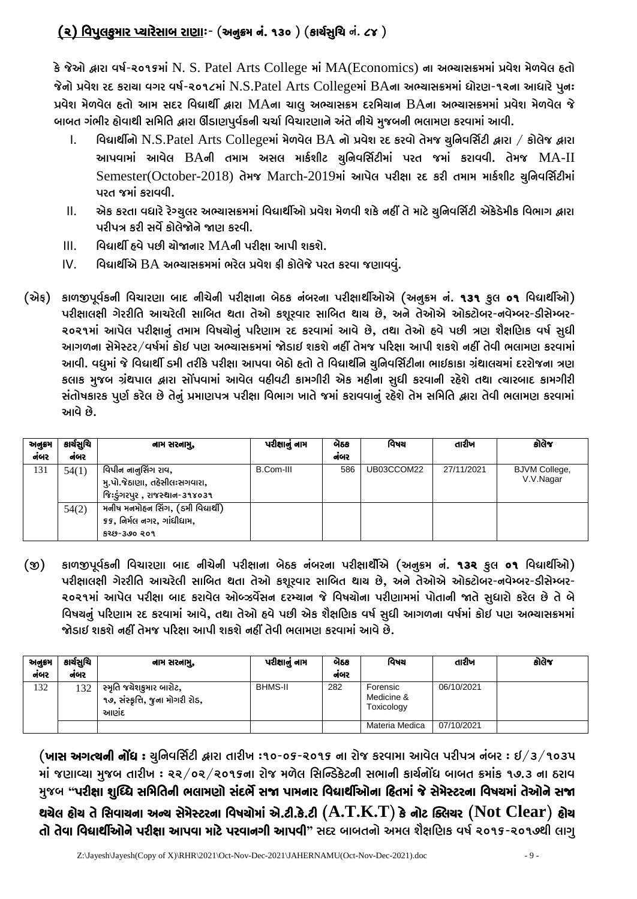## (૨) વિપુલકુમાર પ્યારેસાબ રાણા:- (અનુક્રમ નં. ૧૩૦ ) (કાર્ચસુચિ નં. ૮૪ )

કે જેઓ દ્વારા વર્ષ-૨૦૧૬માં N. S. Patel Arts College માં MA(Economics) ના અભ્યાસક્રમમાં પ્રવેશ મેળવેલ હતો જેનો પ્રવેશ રદ કરાચા વગર વર્ષ-૨૦૧૮માં N.S.Patel Arts Collegeમાં BAના અભ્યાસક્રમમાં ધોરણ-૧૨ના આધારે પુન: પ્રવેશ મેળવેલ હતો આમ સદર વિદ્યાર્થી દ્વારા MAના ચાલુ અભ્યાસક્રમ દરમિચાન BAના અભ્યાસક્રમમાં પ્રવેશ મેળવેલ જે બાબત ગંભીર હોવાથી સમિતિ દ્વારા ઊંડાણપુર્વકની ચર્ચા વિચારણાને અંતે નીચે મુજબની ભલામણ કરવામાં આવી.

- વિદ્યાર્થીનો N.S.Patel Arts Collegeમાં મેળવેલ BA નો પ્રવેશ રદ કરવો તેમજ ચુનિવર્સિટી દ્વારા / કોલેજ દ્વારા  $\mathsf{L}$ આપવામાં આવેલ BAની તમામ અસલ માર્કશીટ ચુનિવર્સિટીમાં પરત જમાં કરાવવી. તેમજ MA-II Semester(October-2018) તેમજ March-2019માં આપેલ પરીક્ષા રદ કરી તમામ માર્કશીટ ચુનિવર્સિટીમાં પરત જમાં કરાવવી.
- એક કરતા વધારે રેગ્યુલર અભ્યાસક્રમમાં વિદ્યાર્થીઓ પ્રવેશ મેળવી શકે નહીં તે માટે યુનિવર્સિટી એકેડેમીક વિભાગ દ્વારા  $\Pi$ . પરીપત્ર કરી સર્વે કોલેજોને જાણ કરવી.
- વિદ્યાર્થી ઠવે પછી ચોજાનાર MAની પરીક્ષા આપી શકશે.  $III.$
- વિદ્યાર્થીએ BA અભ્યાસક્રમમાં ભરેલ પ્રવેશ ફી કોલેજે પરત કરવા જણાવવું.  $IV.$
- (એફ) કાળજીપૂર્વકની વિચારણા બાદ નીચેની પરીક્ષાના બેઠક નંબરના પરીક્ષાર્થીઓએ (અનુક્રમ નં. ૧૩૧ કુલ ૦૧ વિદ્યાર્થીઓ) પરીક્ષાલક્ષી ગેરરીતિ આચરેલી સાબિત થતા તેઓ કશુરવાર સાબિત થાય છે, અને તેઓએ ઓક્ટોબર-નવેમ્બર-ડીસેમ્બર-૨૦૨૧માં આપેલ પરીક્ષાનું તમામ વિષચોનું પરિણામ રદ કરવામાં આવે છે, તથા તેઓ હવે પછી ત્રણ શૈક્ષણિક વર્ષ સુધી આગળના સેમેસ્ટર/વર્ષમાં કોઈ પણ અભ્યાસક્રમમાં જોડાઈ શકશે નહીં તેમજ પરિક્ષા આપી શકશે નહીં તેવી ભલામણ કરવામાં આવી. વધુમાં જે વિદ્યાર્થી ડમી તરીકે પરીક્ષા આપવા બેઠો હતો તે વિદ્યાર્થીને ચુનિવર્સિટીના ભાઈકાકા ગ્રંથાલચમાં દરરોજના ત્રણ કલાક મુજબ ગ્રંથપાલ દ્વારા સોંપવામાં આવેલ વહીવટી કામગીરી એક મહીના સુધી કરવાની રહેશે તથા ત્યારબાદ કામગીરી સંતોષકારક પુર્ણ કરેલ છે તેનું પ્રમાણપત્ર પરીક્ષા વિભાગ ખાતે જમાં કરાવવાનું રહેશે તેમ સમિતિ દ્વારા તેવી ભલામણ કરવામાં આવે છે.

| અનુક્રમ | કાર્યસૂચિ | નામ સરનામુ,                                                                         | પરીક્ષાનું નામ | વેઠક | વિષય       | તારીખ      | કોલેજ                             |
|---------|-----------|-------------------------------------------------------------------------------------|----------------|------|------------|------------|-----------------------------------|
| નંબર    | નંબર      |                                                                                     |                | નંબર |            |            |                                   |
| 131     | 54(1)     | વિપીન નાનુસિંગ રાવ,<br>મુ.પો.જેઠાણા, તહેસીલઃસગવારા,<br>જિઃડુંગરપુર, રાજસ્થાન-૩૧૪૦૩૧ | B.Com-III      | 586  | UB03CCOM22 | 27/11/2021 | <b>BJVM College,</b><br>V.V.Nagar |
|         | 54(2)     | મનીષ મનમોહન સિંગ, (ડમી વિદ્યાર્થી)<br>૬૬, નિર્મલ નગર, ગાંધીધામ,<br>829-300 २०१      |                |      |            |            |                                   |

 $\mathfrak{v}$ કાળજીપૂર્વકની વિચારણા બાદ નીચેની પરીક્ષાના બેઠક નંબરના પરીક્ષાર્થીએ (અનુક્રમ નં. ૧૩૨ કુલ ૦૧ વિદ્યાર્થીઓ) પરીક્ષાલક્ષી ગેરરીતિ આચરેલી સાબિત થતા તેઓ કશુરવાર સાબિત થાય છે, અને તેઓએ ઓક્ટોબર-નવેમ્બર-ડીસેમ્બર-૨૦૨૧માં આપેલ પરીક્ષા બાદ કરાવેલ ઓબ્ઝર્વેસન દરમ્યાન જે વિષયોના પરીણામમાં પોતાની જાતે સુધારો કરેલ છે તે બે વિષચનું પરિણામ રદ કરવામાં આવે, તથા તેઓ હવે પછી એક શૈક્ષણિક વર્ષ સુધી આગળના વર્ષમાં કોઈ પણ અભ્યાસક્રમમાં જોડાઈ શકશે નહીં તેમજ પરિક્ષા આપી શકશે નહીં તેવી ભલામણ કરવામાં આવે છે.

| અનુક્રમ<br>નંબર | કાર્ચસુચિ<br>નંબર | નામ સરનામુ,                                                      | પરીક્ષાનું નામ | બેઠક<br>નંબર | વિષય                                 | તારીખ      | કોલેજ |
|-----------------|-------------------|------------------------------------------------------------------|----------------|--------------|--------------------------------------|------------|-------|
| 132             | 132               | સ્મૃતિ જચેશકુમાર બારોટ,<br>૧૭, સંસ્કૃતિ, જુના મોગરી રોડ,<br>આણંદ | <b>BHMS-II</b> | 282          | Forensic<br>Medicine &<br>Toxicology | 06/10/2021 |       |
|                 |                   |                                                                  |                |              | Materia Medica                       | 07/10/2021 |       |

(ખાસ અગત્થની નોંધ : યુનિવર્સિટી દ્વારા તારીખ :૧૦-૦૬-૨૦૧૬ ના રોજ કરવામા આવેલ પરીપત્ર નંબર : ઇ/૩/૧૦૩૫ માં જણાવ્યા મુજબ તારીખ : ૨૨/૦૨/૨૦૧૬ના રોજ મળેલ સિન્ડિકેટની સભાની કાર્યનોંધ બાબત ક્રમાંક ૧૭.૩ ના ઠરાવ મુજબ "પરીક્ષા શુધ્ધિ સમિતિની ભલામણો સંદર્ભે સજા પામનાર વિદ્યાર્થીઓના હિતમાં જે સેમેસ્ટરના વિષચમાં તેઓને સજા થચેલ હોચ તે સિવાચના અન્ય સેમેસ્ટરના વિષયોમાં એ.ટી.કે.ટી  $(\mathbf{A.T.K.T})$  કે નોટ ક્લિચર  $(\mathbf{Not \ Clear})$  હોચ તો તેવા વિદ્યાર્થીઓને પરીક્ષા આપવા માટે પરવાનગી આપવી" સદર બાબતનો અમલ શૈક્ષણિક વર્ષ ૨૦૧૬-૨૦૧૭થી લાગુ